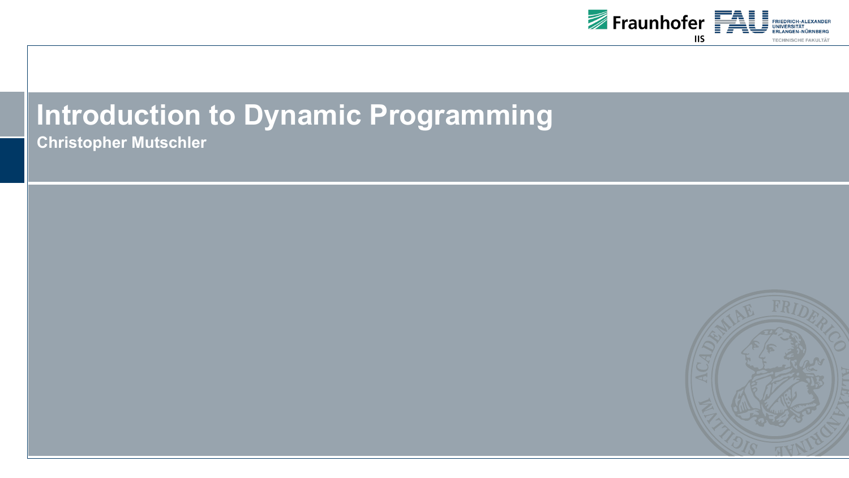

# **Introduction to Dynamic Programming**

**Christopher Mutschler**

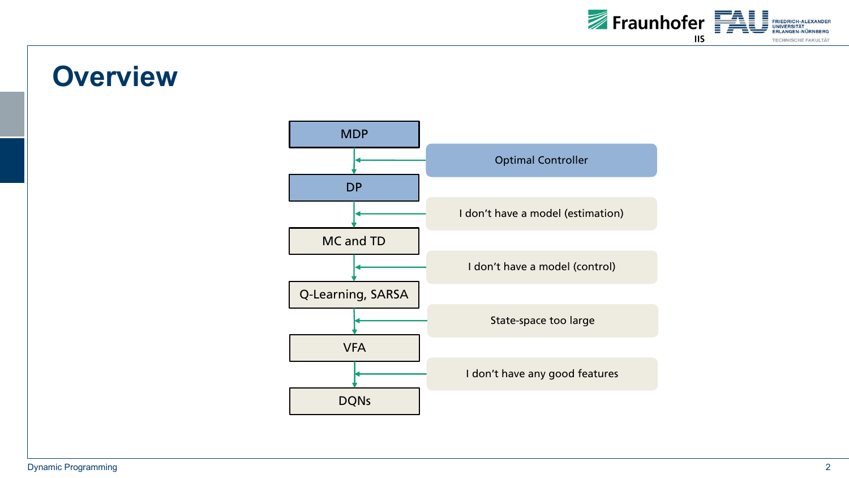

### **Overview**

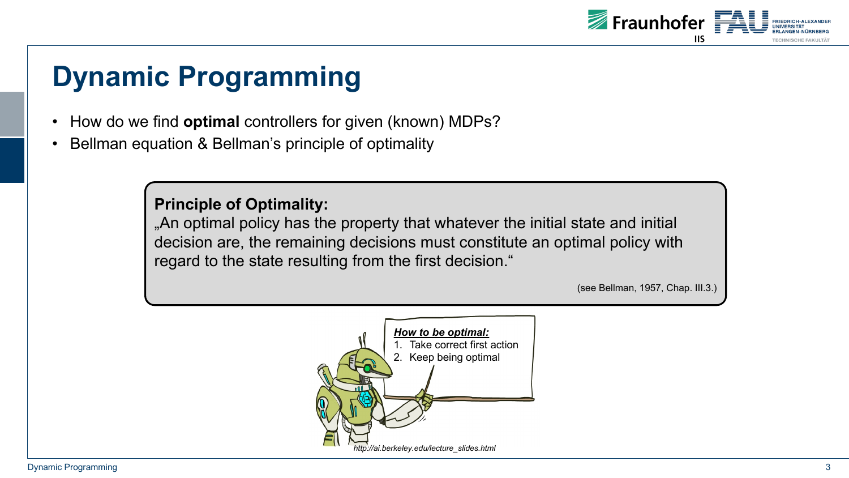

- How do we find **optimal** controllers for given (known) MDPs?
- Bellman equation & Bellman's principle of optimality

**Principle of Optimality:**

"An optimal policy has the property that whatever the initial state and initial decision are, the remaining decisions must constitute an optimal policy with regard to the state resulting from the first decision."

(see Bellman, 1957, Chap. III.3.)

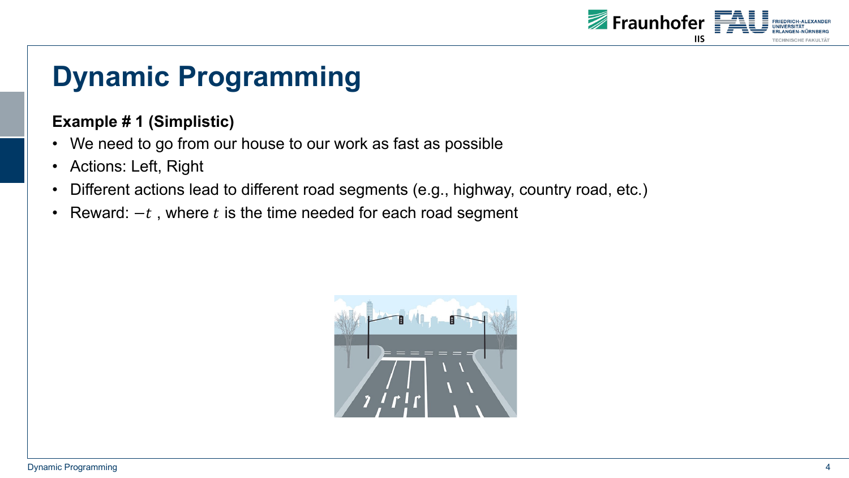

#### **Example # 1 (Simplistic)**

- We need to go from our house to our work as fast as possible
- Actions: Left, Right
- Different actions lead to different road segments (e.g., highway, country road, etc.)
- Reward:  $-t$ , where  $t$  is the time needed for each road segment

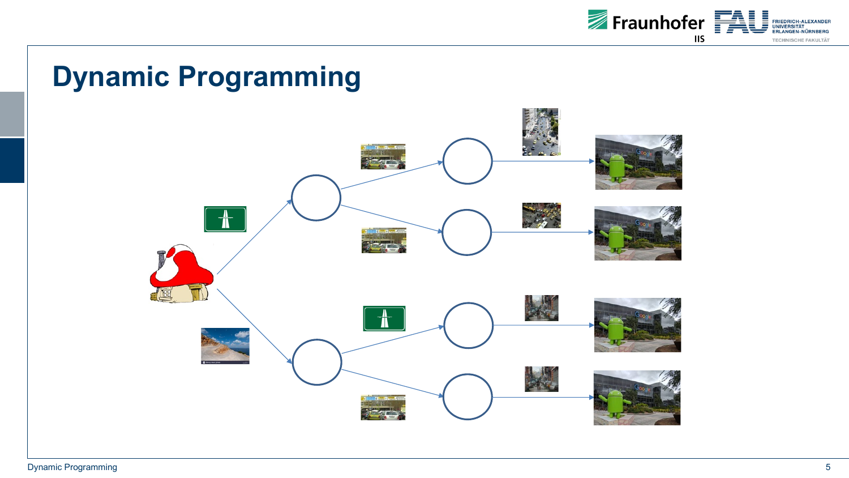

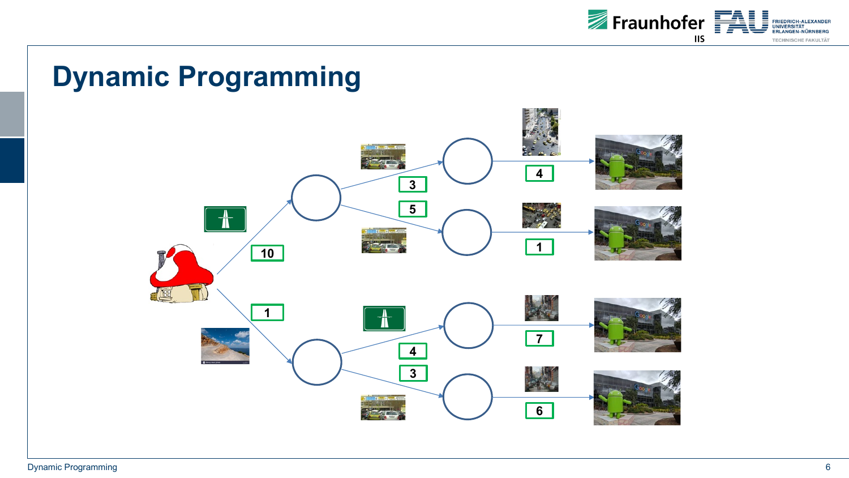

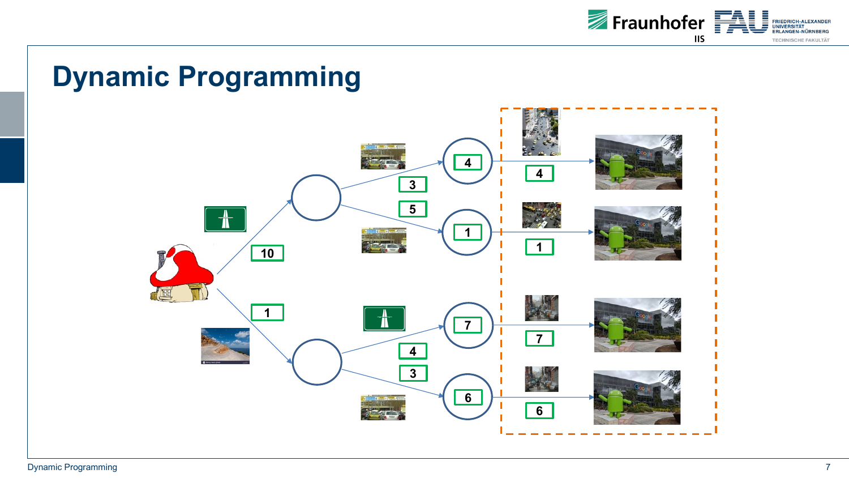

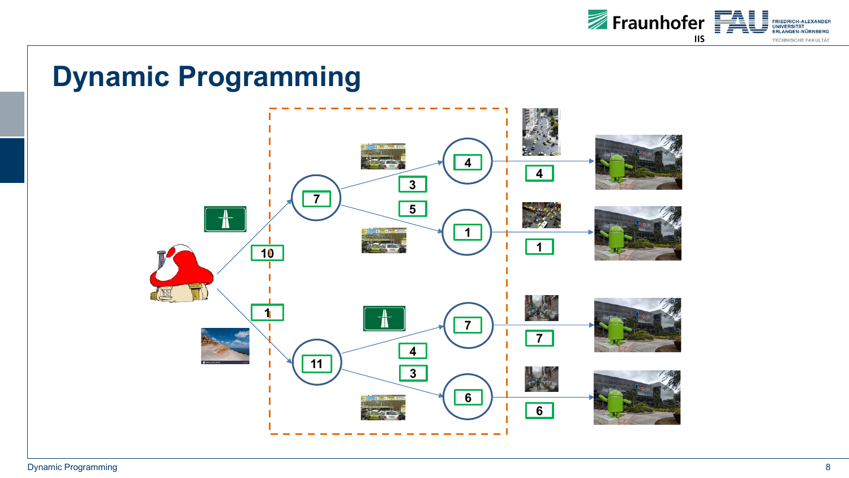

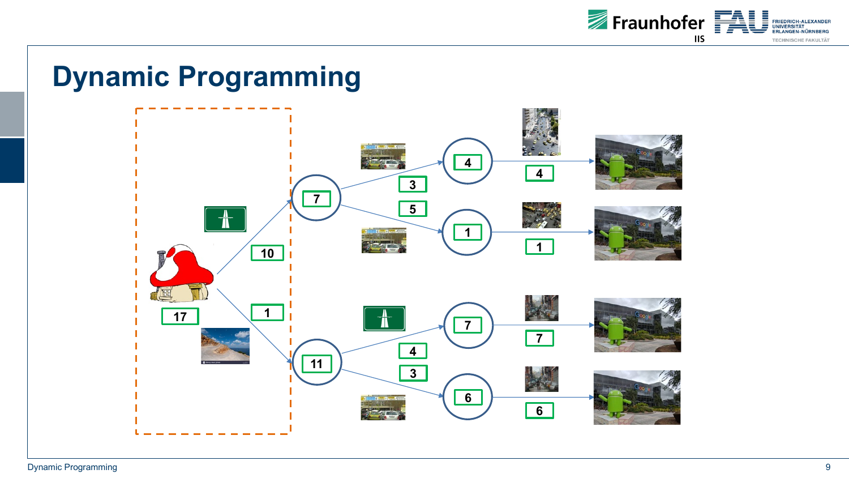

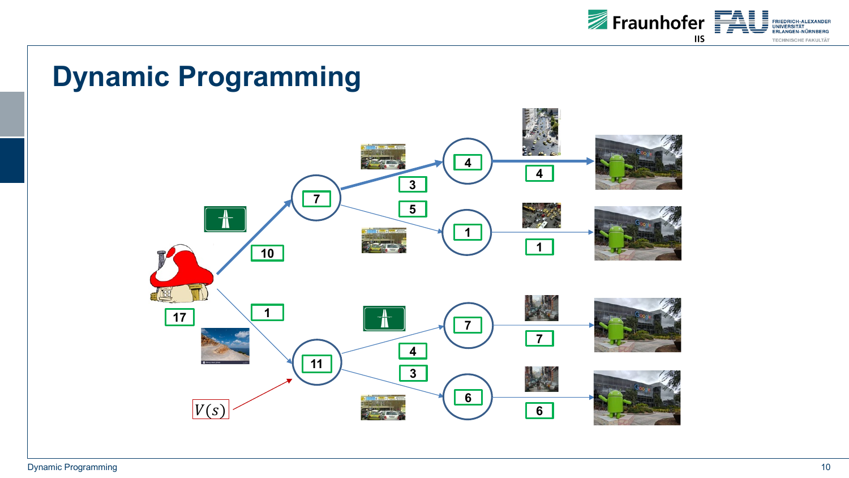

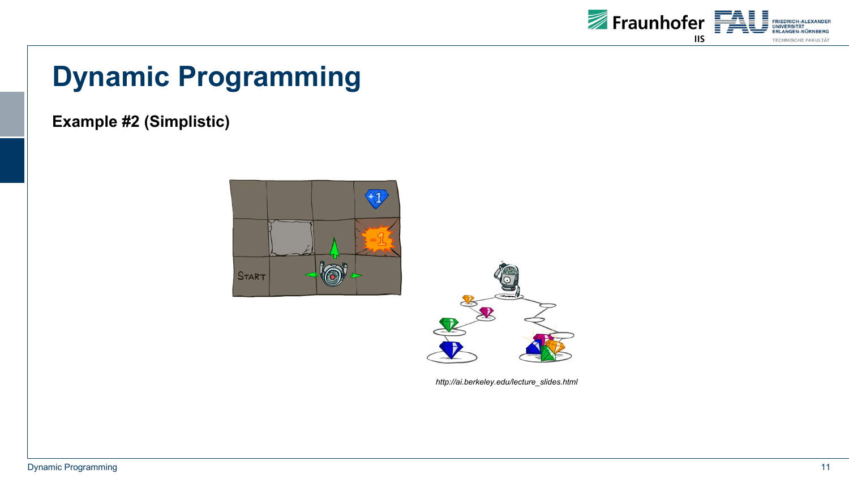

#### **Example #2 (Simplistic)**





*http://ai.berkeley.edu/lecture\_slides.html*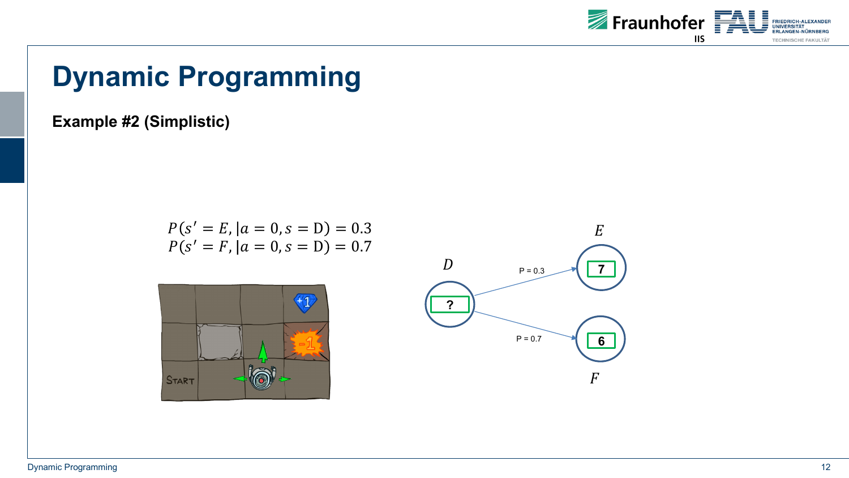

**Example #2 (Simplistic)**

$$
P(s' = E, |a = 0, s = D) = 0.3
$$
  

$$
P(s' = F, |a = 0, s = D) = 0.7
$$



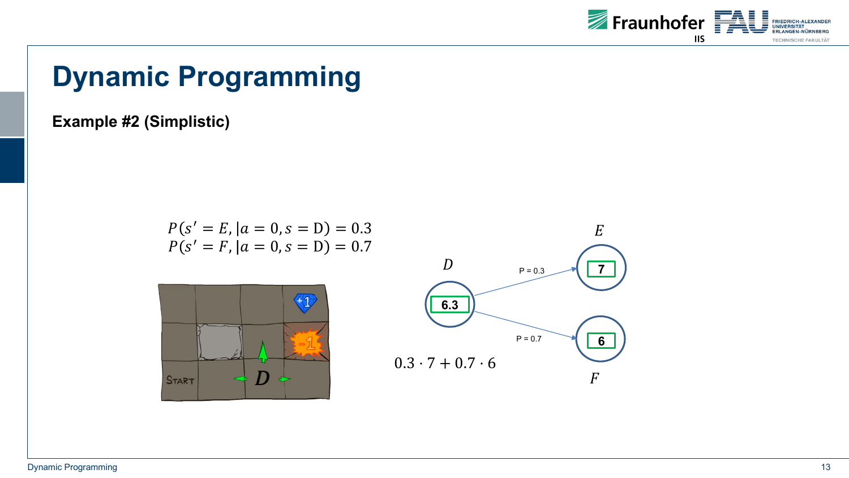

**Example #2 (Simplistic)**

$$
P(s' = E, |a = 0, s = D) = 0.3
$$
  

$$
P(s' = F, |a = 0, s = D) = 0.7
$$



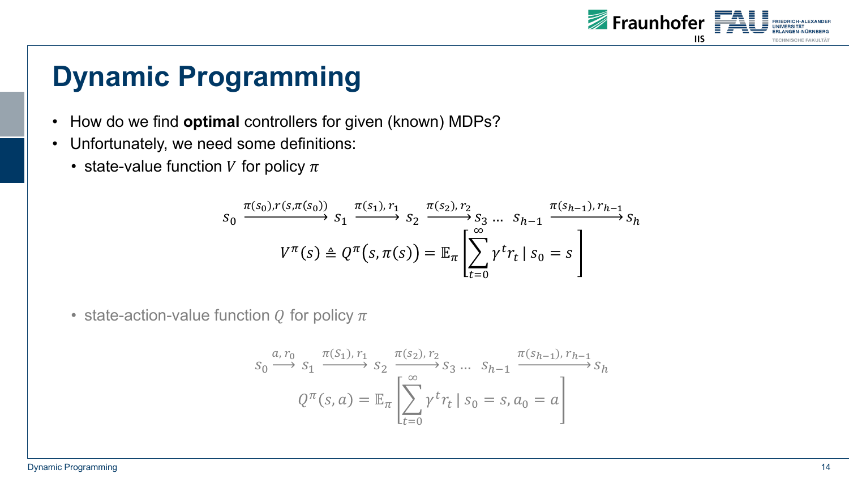

- How do we find **optimal** controllers for given (known) MDPs?
- Unfortunately, we need some definitions:
	- state-value function V for policy  $\pi$

$$
S_0 \xrightarrow{\pi(s_0), r(s, \pi(s_0))} S_1 \xrightarrow{\pi(s_1), r_1} S_2 \xrightarrow{\pi(s_2), r_2} S_3 \dots S_{h-1} \xrightarrow{\pi(s_{h-1}), r_{h-1}} S_h
$$

$$
V^{\pi}(s) \triangleq Q^{\pi}(s, \pi(s)) = \mathbb{E}_{\pi} \left[ \sum_{t=0}^{\infty} \gamma^t r_t \mid s_0 = s \right]
$$

• state-action-value function  $Q$  for policy  $\pi$ 

$$
S_0 \xrightarrow{a, r_0} S_1 \xrightarrow{\pi(S_1), r_1} S_2 \xrightarrow{\pi(S_2), r_2} S_3 \dots S_{h-1} \xrightarrow{\pi(S_{h-1}), r_{h-1}} S_h
$$
  

$$
Q^{\pi}(s, a) = \mathbb{E}_{\pi} \left[ \sum_{t=0}^{\infty} \gamma^t r_t \mid s_0 = s, a_0 = a \right]
$$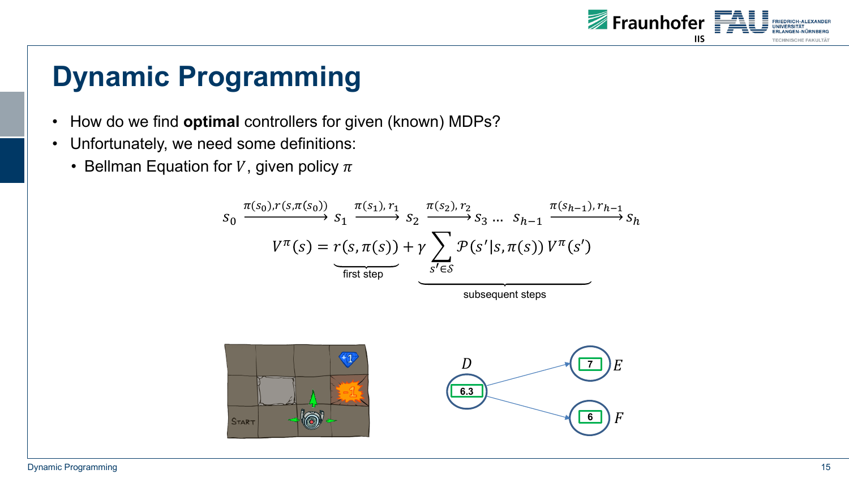

- How do we find **optimal** controllers for given (known) MDPs?
- Unfortunately, we need some definitions:
	- Bellman Equation for V, given policy  $\pi$



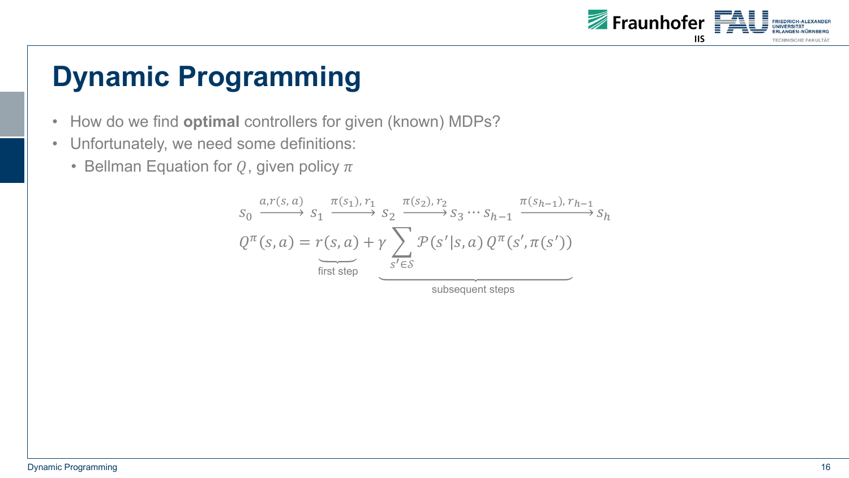

- How do we find **optimal** controllers for given (known) MDPs?
- Unfortunately, we need some definitions:
	- Bellman Equation for  $Q$ , given policy  $\pi$

$$
S_0 \xrightarrow{a,r(s,a)} S_1 \xrightarrow{\pi(s_1),r_1} S_2 \xrightarrow{\pi(s_2),r_2} S_3 \cdots S_{h-1} \xrightarrow{\pi(s_{h-1}),r_{h-1}} S_h
$$
  

$$
Q^{\pi}(s,a) = r(s,a) + \gamma \sum_{s' \in S} \mathcal{P}(s'|s,a) Q^{\pi}(s',\pi(s'))
$$
  
first step  
subsequent steps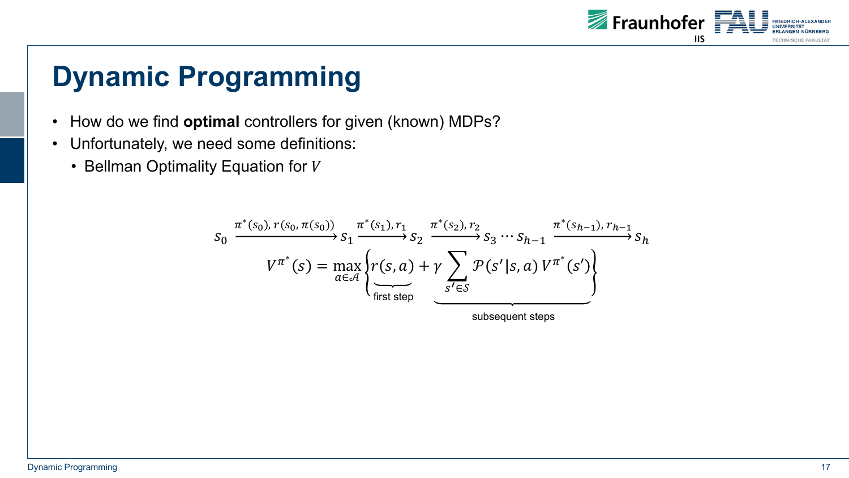

- How do we find **optimal** controllers for given (known) MDPs?
- Unfortunately, we need some definitions:
	- $\cdot$  Bellman Optimality Equation for V

$$
S_0 \xrightarrow{\pi^*(s_0), r(s_0, \pi(s_0))} S_1 \xrightarrow{\pi^*(s_1), r_1} S_2 \xrightarrow{\pi^*(s_2), r_2} S_3 \cdots S_{h-1} \xrightarrow{\pi^*(s_{h-1}), r_{h-1}} S_h
$$

$$
V^{\pi^*}(s) = \max_{a \in \mathcal{A}} \left\{ r(s, a) + \gamma \sum_{s' \in S} \mathcal{P}(s'|s, a) V^{\pi^*}(s') \right\}
$$

subsequent steps